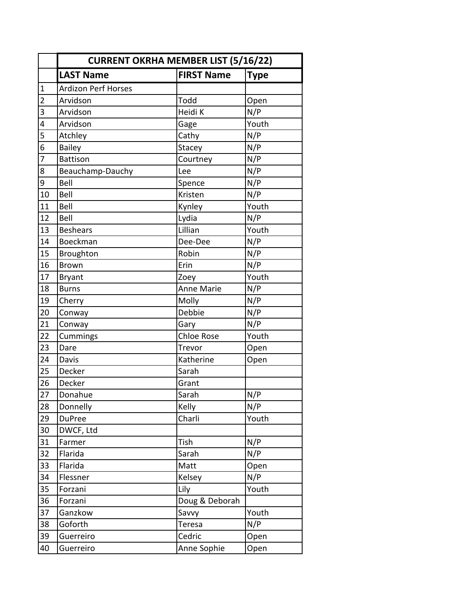|                | <b>CURRENT OKRHA MEMBER LIST (5/16/22)</b> |                   |             |  |  |
|----------------|--------------------------------------------|-------------------|-------------|--|--|
|                | <b>LAST Name</b>                           | <b>FIRST Name</b> | <b>Type</b> |  |  |
| $\mathbf{1}$   | <b>Ardizon Perf Horses</b>                 |                   |             |  |  |
| $\overline{2}$ | Arvidson                                   | Todd              | Open        |  |  |
| $\overline{3}$ | Arvidson                                   | Heidi K           | N/P         |  |  |
| 4              | Arvidson                                   | Gage              | Youth       |  |  |
| 5              | Atchley                                    | Cathy             | N/P         |  |  |
| $\overline{6}$ | <b>Bailey</b>                              | Stacey            | N/P         |  |  |
| 7              | <b>Battison</b>                            | Courtney          | N/P         |  |  |
| 8              | Beauchamp-Dauchy                           | Lee               | N/P         |  |  |
| 9              | Bell                                       | Spence            | N/P         |  |  |
| 10             | Bell                                       | Kristen           | N/P         |  |  |
| 11             | Bell                                       | Kynley            | Youth       |  |  |
| 12             | Bell                                       | Lydia             | N/P         |  |  |
| 13             | <b>Beshears</b>                            | Lillian           | Youth       |  |  |
| 14             | Boeckman                                   | Dee-Dee           | N/P         |  |  |
| 15             | Broughton                                  | Robin             | N/P         |  |  |
| 16             | <b>Brown</b>                               | Erin              | N/P         |  |  |
| 17             | <b>Bryant</b>                              | Zoey              | Youth       |  |  |
| 18             | <b>Burns</b>                               | <b>Anne Marie</b> | N/P         |  |  |
| 19             | Cherry                                     | Molly             | N/P         |  |  |
| 20             | Conway                                     | Debbie            | N/P         |  |  |
| 21             | Conway                                     | Gary              | N/P         |  |  |
| 22             | Cummings                                   | Chloe Rose        | Youth       |  |  |
| 23             | Dare                                       | Trevor            | Open        |  |  |
| 24             | Davis                                      | Katherine         | Open        |  |  |
| 25             | Decker                                     | Sarah             |             |  |  |
| 26             | Decker                                     | Grant             |             |  |  |
| 27             | Donahue                                    | Sarah             | N/P         |  |  |
| 28             | Donnelly                                   | Kelly             | N/P         |  |  |
| 29             | <b>DuPree</b>                              | Charli            | Youth       |  |  |
| 30             | DWCF, Ltd                                  |                   |             |  |  |
| 31             | Farmer                                     | Tish              | N/P         |  |  |
| 32             | Flarida                                    | Sarah             | N/P         |  |  |
| 33             | Flarida                                    | Matt              | Open        |  |  |
| 34             | Flessner                                   | Kelsey            | N/P         |  |  |
| 35             | Forzani                                    | Lily              | Youth       |  |  |
| 36             | Forzani                                    | Doug & Deborah    |             |  |  |
| 37             | Ganzkow                                    | Savvy             | Youth       |  |  |
| 38             | Goforth                                    | Teresa            | N/P         |  |  |
| 39             | Guerreiro                                  | Cedric            | Open        |  |  |
| 40             | Guerreiro                                  | Anne Sophie       | Open        |  |  |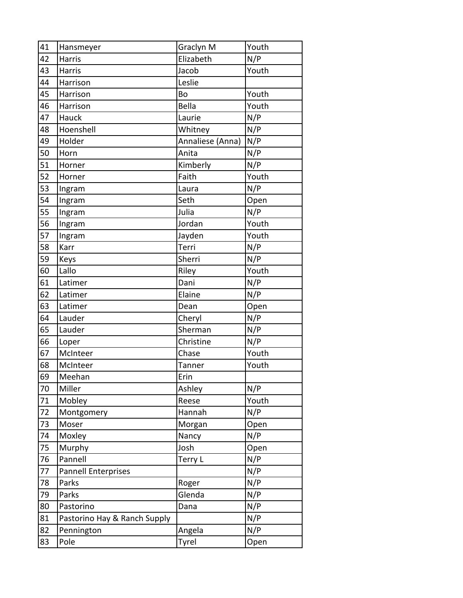| 41 |                              |                        | Youth |
|----|------------------------------|------------------------|-------|
| 42 | Hansmeyer<br><b>Harris</b>   | Graclyn M<br>Elizabeth | N/P   |
| 43 | Harris                       | Jacob                  | Youth |
| 44 | Harrison                     | Leslie                 |       |
|    |                              |                        |       |
| 45 | Harrison                     | Bo                     | Youth |
| 46 | Harrison                     | <b>Bella</b>           | Youth |
| 47 | Hauck                        | Laurie                 | N/P   |
| 48 | Hoenshell                    | Whitney                | N/P   |
| 49 | Holder                       | Annaliese (Anna)       | N/P   |
| 50 | Horn                         | Anita                  | N/P   |
| 51 | Horner                       | Kimberly               | N/P   |
| 52 | Horner                       | Faith                  | Youth |
| 53 | Ingram                       | Laura                  | N/P   |
| 54 | Ingram                       | Seth                   | Open  |
| 55 | Ingram                       | Julia                  | N/P   |
| 56 | Ingram                       | Jordan                 | Youth |
| 57 | Ingram                       | Jayden                 | Youth |
| 58 | Karr                         | Terri                  | N/P   |
| 59 | Keys                         | Sherri                 | N/P   |
| 60 | Lallo                        | Riley                  | Youth |
| 61 | Latimer                      | Dani                   | N/P   |
| 62 | Latimer                      | Elaine                 | N/P   |
| 63 | Latimer                      | Dean                   | Open  |
| 64 | Lauder                       | Cheryl                 | N/P   |
| 65 | Lauder                       | Sherman                | N/P   |
| 66 | Loper                        | Christine              | N/P   |
| 67 | McInteer                     | Chase                  | Youth |
| 68 | McInteer                     | Tanner                 | Youth |
| 69 | Meehan                       | Erin                   |       |
| 70 | Miller                       | Ashley                 | N/P   |
| 71 | Mobley                       | Reese                  | Youth |
| 72 | Montgomery                   | Hannah                 | N/P   |
| 73 | Moser                        | Morgan                 | Open  |
| 74 | Moxley                       | Nancy                  | N/P   |
| 75 | Murphy                       | Josh                   | Open  |
| 76 | Pannell                      | Terry L                | N/P   |
| 77 | <b>Pannell Enterprises</b>   |                        | N/P   |
| 78 | Parks                        | Roger                  | N/P   |
| 79 | Parks                        | Glenda                 | N/P   |
| 80 | Pastorino                    | Dana                   | N/P   |
| 81 | Pastorino Hay & Ranch Supply |                        | N/P   |
| 82 | Pennington                   | Angela                 | N/P   |
| 83 | Pole                         | Tyrel                  | Open  |